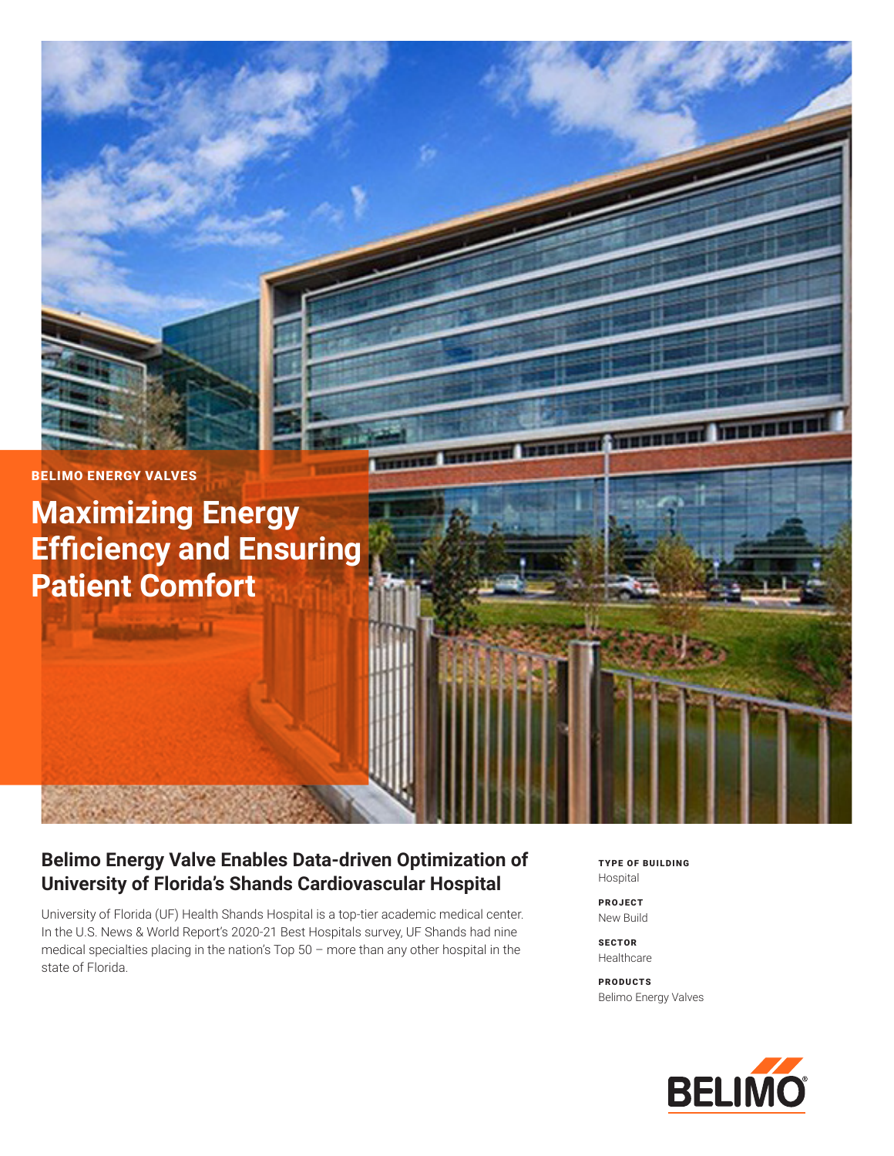

# **Belimo Energy Valve Enables Data-driven Optimization of University of Florida's Shands Cardiovascular Hospital**

University of Florida (UF) Health Shands Hospital is a top-tier academic medical center. In the U.S. News & World Report's 2020-21 Best Hospitals survey, UF Shands had nine medical specialties placing in the nation's Top 50 – more than any other hospital in the state of Florida.

TYPE OF BUILDING Hospital

PROJECT New Build

**SECTOR** Healthcare

PRODUCTS Belimo Energy Valves

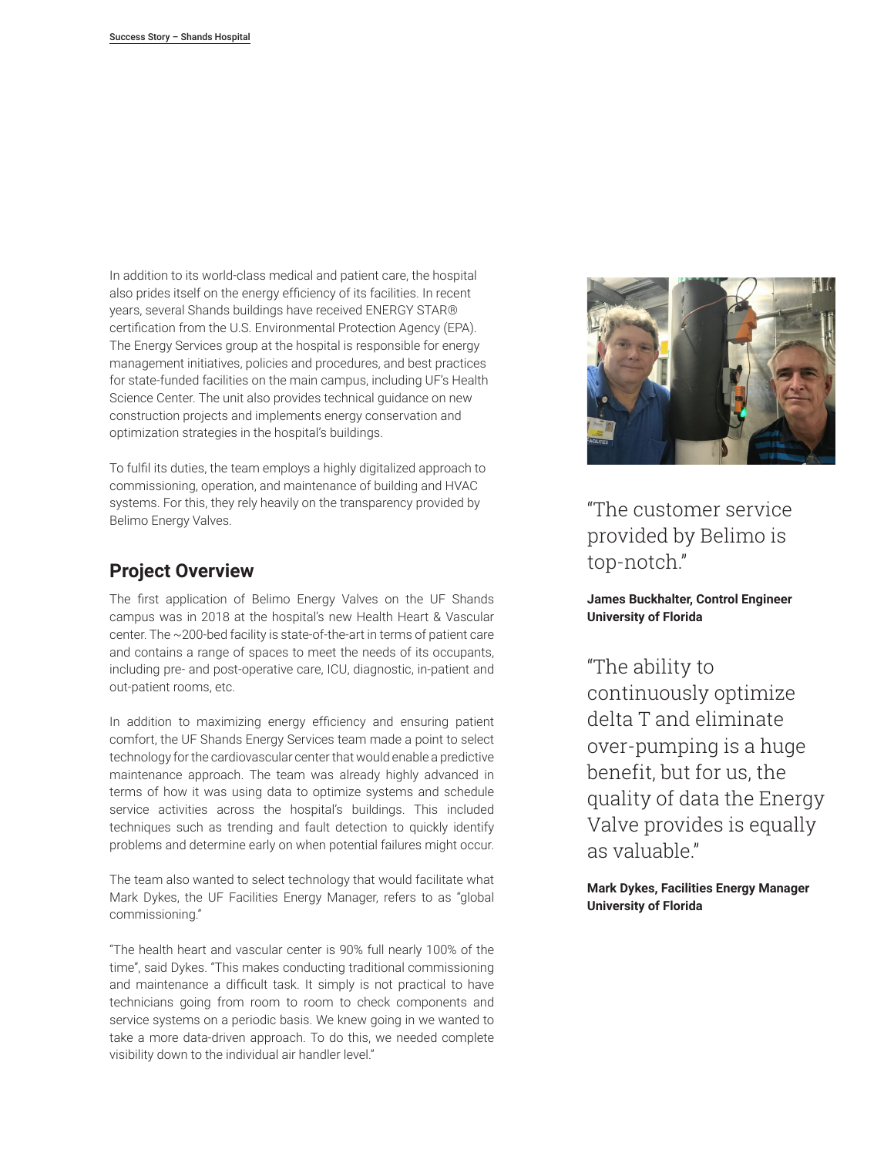In addition to its world-class medical and patient care, the hospital also prides itself on the energy efficiency of its facilities. In recent years, several Shands buildings have received ENERGY STAR® certification from the U.S. Environmental Protection Agency (EPA). The Energy Services group at the hospital is responsible for energy management initiatives, policies and procedures, and best practices for state-funded facilities on the main campus, including UF's Health Science Center. The unit also provides technical guidance on new construction projects and implements energy conservation and optimization strategies in the hospital's buildings.

To fulfil its duties, the team employs a highly digitalized approach to commissioning, operation, and maintenance of building and HVAC systems. For this, they rely heavily on the transparency provided by Belimo Energy Valves.

## **Project Overview**

The first application of Belimo Energy Valves on the UF Shands campus was in 2018 at the hospital's new Health Heart & Vascular center. The ~200-bed facility is state-of-the-art in terms of patient care and contains a range of spaces to meet the needs of its occupants, including pre- and post-operative care, ICU, diagnostic, in-patient and out-patient rooms, etc.

In addition to maximizing energy efficiency and ensuring patient comfort, the UF Shands Energy Services team made a point to select technology for the cardiovascular center that would enable a predictive maintenance approach. The team was already highly advanced in terms of how it was using data to optimize systems and schedule service activities across the hospital's buildings. This included techniques such as trending and fault detection to quickly identify problems and determine early on when potential failures might occur.

The team also wanted to select technology that would facilitate what Mark Dykes, the UF Facilities Energy Manager, refers to as "global commissioning."

"The health heart and vascular center is 90% full nearly 100% of the time", said Dykes. "This makes conducting traditional commissioning and maintenance a difficult task. It simply is not practical to have technicians going from room to room to check components and service systems on a periodic basis. We knew going in we wanted to take a more data-driven approach. To do this, we needed complete visibility down to the individual air handler level."



"The customer service provided by Belimo is top-notch."

**James Buckhalter, Control Engineer University of Florida**

"The ability to continuously optimize delta T and eliminate over-pumping is a huge benefit, but for us, the quality of data the Energy Valve provides is equally as valuable."

**Mark Dykes, Facilities Energy Manager University of Florida**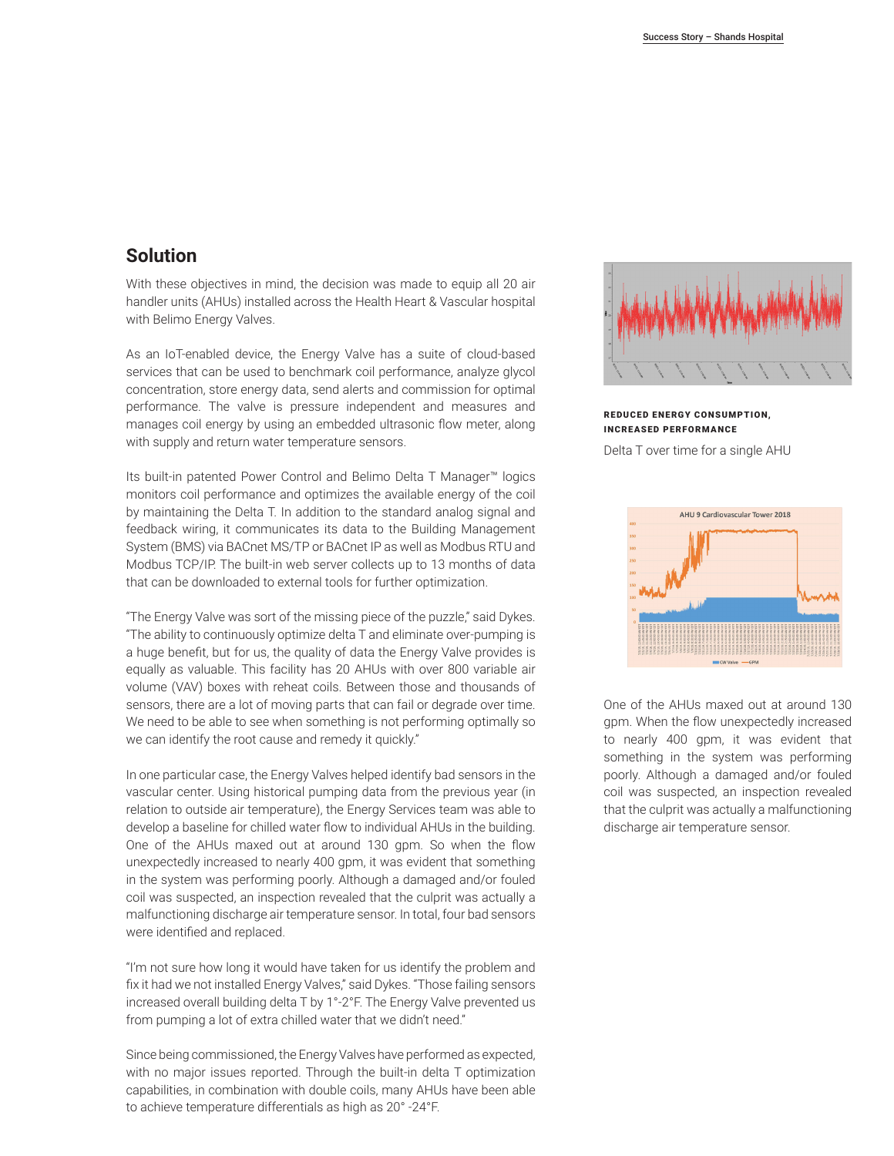### **Solution**

With these objectives in mind, the decision was made to equip all 20 air handler units (AHUs) installed across the Health Heart & Vascular hospital with Belimo Energy Valves.

As an IoT-enabled device, the Energy Valve has a suite of cloud-based services that can be used to benchmark coil performance, analyze glycol concentration, store energy data, send alerts and commission for optimal performance. The valve is pressure independent and measures and manages coil energy by using an embedded ultrasonic flow meter, along with supply and return water temperature sensors.

Its built-in patented Power Control and Belimo Delta T Manager™ logics monitors coil performance and optimizes the available energy of the coil by maintaining the Delta T. In addition to the standard analog signal and feedback wiring, it communicates its data to the Building Management System (BMS) via BACnet MS/TP or BACnet IP as well as Modbus RTU and Modbus TCP/IP. The built-in web server collects up to 13 months of data that can be downloaded to external tools for further optimization.

"The Energy Valve was sort of the missing piece of the puzzle," said Dykes. "The ability to continuously optimize delta T and eliminate over-pumping is a huge benefit, but for us, the quality of data the Energy Valve provides is equally as valuable. This facility has 20 AHUs with over 800 variable air volume (VAV) boxes with reheat coils. Between those and thousands of sensors, there are a lot of moving parts that can fail or degrade over time. We need to be able to see when something is not performing optimally so we can identify the root cause and remedy it quickly."

In one particular case, the Energy Valves helped identify bad sensors in the vascular center. Using historical pumping data from the previous year (in relation to outside air temperature), the Energy Services team was able to develop a baseline for chilled water flow to individual AHUs in the building. One of the AHUs maxed out at around 130 gpm. So when the flow unexpectedly increased to nearly 400 gpm, it was evident that something in the system was performing poorly. Although a damaged and/or fouled coil was suspected, an inspection revealed that the culprit was actually a malfunctioning discharge air temperature sensor. In total, four bad sensors were identified and replaced.

"I'm not sure how long it would have taken for us identify the problem and fix it had we not installed Energy Valves," said Dykes. "Those failing sensors increased overall building delta T by 1°-2°F. The Energy Valve prevented us from pumping a lot of extra chilled water that we didn't need."

Since being commissioned, the Energy Valves have performed as expected, with no major issues reported. Through the built-in delta T optimization capabilities, in combination with double coils, many AHUs have been able to achieve temperature differentials as high as 20° -24°F.



#### REDUCED ENERGY CONSUMPTION, INCREASED PERFORMANCE

Delta T over time for a single AHU



One of the AHUs maxed out at around 130 gpm. When the flow unexpectedly increased to nearly 400 gpm, it was evident that something in the system was performing poorly. Although a damaged and/or fouled coil was suspected, an inspection revealed that the culprit was actually a malfunctioning discharge air temperature sensor.